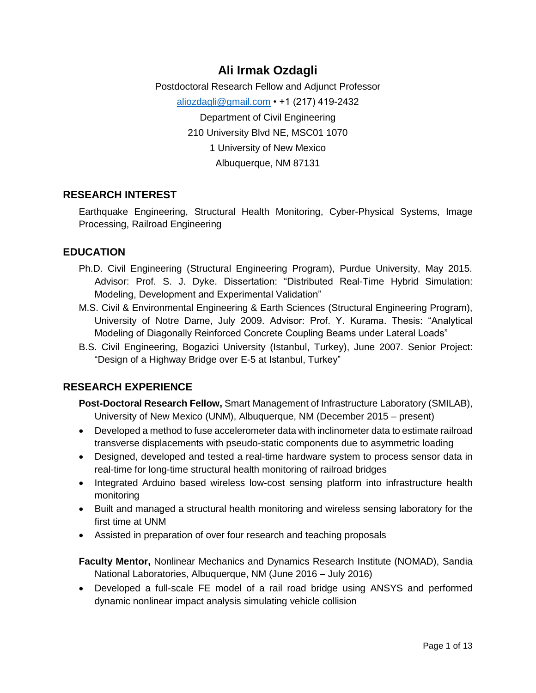# **Ali Irmak Ozdagli**

Postdoctoral Research Fellow and Adjunct Professor [aliozdagli@gmail.com](mailto:aliozdagli@gmail.com) • +1 (217) 419-2432 Department of Civil Engineering 210 University Blvd NE, MSC01 1070 1 University of New Mexico Albuquerque, NM 87131

## **RESEARCH INTEREST**

Earthquake Engineering, Structural Health Monitoring, Cyber-Physical Systems, Image Processing, Railroad Engineering

### **EDUCATION**

- Ph.D. Civil Engineering (Structural Engineering Program), Purdue University, May 2015. Advisor: Prof. S. J. Dyke. Dissertation: "Distributed Real-Time Hybrid Simulation: Modeling, Development and Experimental Validation"
- M.S. Civil & Environmental Engineering & Earth Sciences (Structural Engineering Program), University of Notre Dame, July 2009. Advisor: Prof. Y. Kurama. Thesis: "Analytical Modeling of Diagonally Reinforced Concrete Coupling Beams under Lateral Loads"
- B.S. Civil Engineering, Bogazici University (Istanbul, Turkey), June 2007. Senior Project: "Design of a Highway Bridge over E-5 at Istanbul, Turkey"

### **RESEARCH EXPERIENCE**

- **Post-Doctoral Research Fellow,** Smart Management of Infrastructure Laboratory (SMILAB), University of New Mexico (UNM), Albuquerque, NM (December 2015 – present)
- Developed a method to fuse accelerometer data with inclinometer data to estimate railroad transverse displacements with pseudo-static components due to asymmetric loading
- Designed, developed and tested a real-time hardware system to process sensor data in real-time for long-time structural health monitoring of railroad bridges
- Integrated Arduino based wireless low-cost sensing platform into infrastructure health monitoring
- Built and managed a structural health monitoring and wireless sensing laboratory *for the first time* at UNM
- Assisted in preparation of over four research and teaching proposals

**Faculty Mentor,** Nonlinear Mechanics and Dynamics Research Institute (NOMAD), Sandia National Laboratories, Albuquerque, NM (June 2016 – July 2016)

• Developed a full-scale FE model of a rail road bridge using ANSYS and performed dynamic nonlinear impact analysis simulating vehicle collision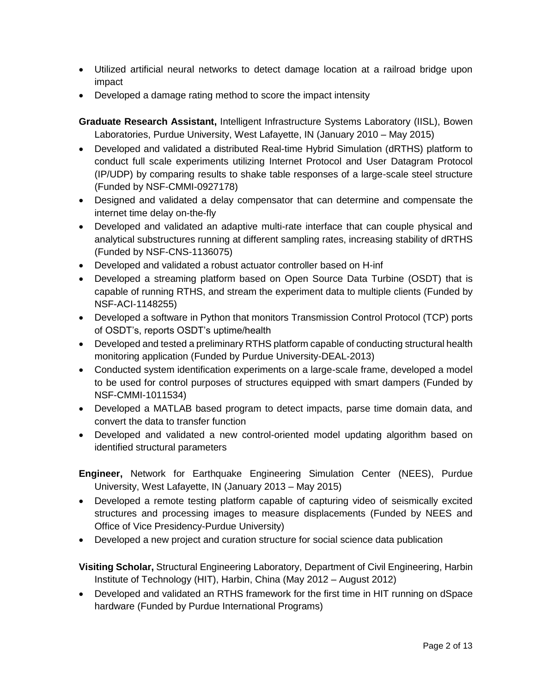- Utilized artificial neural networks to detect damage location at a railroad bridge upon impact
- Developed a damage rating method to score the impact intensity

**Graduate Research Assistant,** Intelligent Infrastructure Systems Laboratory (IISL), Bowen Laboratories, Purdue University, West Lafayette, IN (January 2010 – May 2015)

- Developed and validated a distributed Real-time Hybrid Simulation (dRTHS) platform to conduct full scale experiments utilizing Internet Protocol and User Datagram Protocol (IP/UDP) by comparing results to shake table responses of a large-scale steel structure (Funded by NSF-CMMI-0927178)
- Designed and validated a delay compensator that can determine and compensate the internet time delay on-the-fly
- Developed and validated an adaptive multi-rate interface that can couple physical and analytical substructures running at different sampling rates, increasing stability of dRTHS (Funded by NSF-CNS-1136075)
- Developed and validated a robust actuator controller based on H-inf
- Developed a streaming platform based on Open Source Data Turbine (OSDT) that is capable of running RTHS, and stream the experiment data to multiple clients (Funded by NSF-ACI-1148255)
- Developed a software in Python that monitors Transmission Control Protocol (TCP) ports of OSDT's, reports OSDT's uptime/health
- Developed and tested a preliminary RTHS platform capable of conducting structural health monitoring application (Funded by Purdue University-DEAL-2013)
- Conducted system identification experiments on a large-scale frame, developed a model to be used for control purposes of structures equipped with smart dampers (Funded by NSF-CMMI-1011534)
- Developed a MATLAB based program to detect impacts, parse time domain data, and convert the data to transfer function
- Developed and validated a new control-oriented model updating algorithm based on identified structural parameters

**Engineer,** Network for Earthquake Engineering Simulation Center (NEES), Purdue University, West Lafayette, IN (January 2013 – May 2015)

- Developed a remote testing platform capable of capturing video of seismically excited structures and processing images to measure displacements (Funded by NEES and Office of Vice Presidency-Purdue University)
- Developed a new project and curation structure for social science data publication

**Visiting Scholar,** Structural Engineering Laboratory, Department of Civil Engineering, Harbin Institute of Technology (HIT), Harbin, China (May 2012 – August 2012)

• Developed and validated an RTHS framework *for the first time in HIT* running on dSpace hardware (Funded by Purdue International Programs)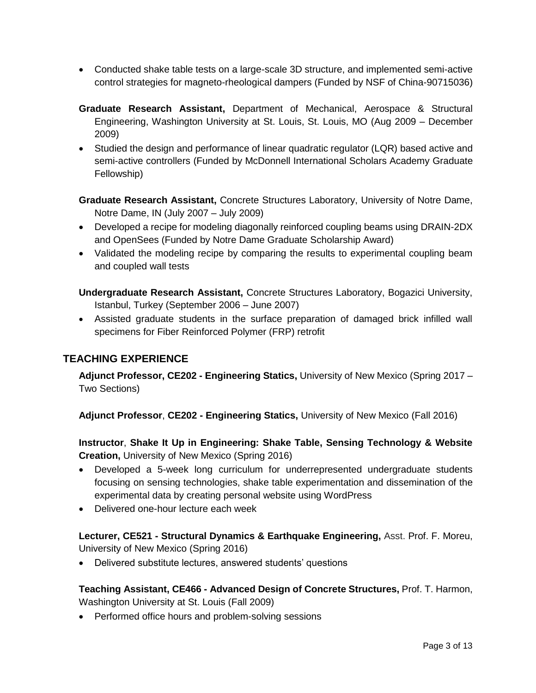- Conducted shake table tests on a large-scale 3D structure, and implemented semi-active control strategies for magneto-rheological dampers (Funded by NSF of China-90715036)
- **Graduate Research Assistant,** Department of Mechanical, Aerospace & Structural Engineering, Washington University at St. Louis, St. Louis, MO (Aug 2009 – December 2009)
- Studied the design and performance of linear quadratic regulator (LQR) based active and semi-active controllers (Funded by McDonnell International Scholars Academy Graduate Fellowship)

**Graduate Research Assistant,** Concrete Structures Laboratory, University of Notre Dame, Notre Dame, IN (July 2007 – July 2009)

- Developed a recipe for modeling diagonally reinforced coupling beams using DRAIN-2DX and OpenSees (Funded by Notre Dame Graduate Scholarship Award)
- Validated the modeling recipe by comparing the results to experimental coupling beam and coupled wall tests

**Undergraduate Research Assistant,** Concrete Structures Laboratory, Bogazici University, Istanbul, Turkey (September 2006 – June 2007)

• Assisted graduate students in the surface preparation of damaged brick infilled wall specimens for Fiber Reinforced Polymer (FRP) retrofit

## **TEACHING EXPERIENCE**

**Adjunct Professor, CE202 - Engineering Statics,** University of New Mexico (Spring 2017 – Two Sections)

**Adjunct Professor**, **CE202 - Engineering Statics,** University of New Mexico (Fall 2016)

**Instructor**, **Shake It Up in Engineering: Shake Table, Sensing Technology & Website Creation,** University of New Mexico (Spring 2016)

- Developed a 5-week long curriculum for underrepresented undergraduate students focusing on sensing technologies, shake table experimentation and dissemination of the experimental data by creating personal website using WordPress
- Delivered one-hour lecture each week

**Lecturer, CE521 - Structural Dynamics & Earthquake Engineering,** Asst. Prof. F. Moreu, University of New Mexico (Spring 2016)

• Delivered substitute lectures, answered students' questions

**Teaching Assistant, CE466 - Advanced Design of Concrete Structures,** Prof. T. Harmon, Washington University at St. Louis (Fall 2009)

• Performed office hours and problem-solving sessions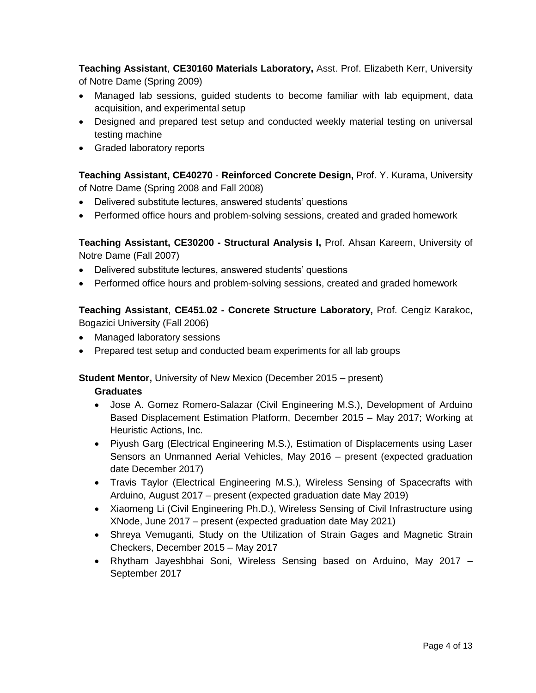**Teaching Assistant**, **CE30160 Materials Laboratory,** Asst. Prof. Elizabeth Kerr, University of Notre Dame (Spring 2009)

- Managed lab sessions, guided students to become familiar with lab equipment, data acquisition, and experimental setup
- Designed and prepared test setup and conducted weekly material testing on universal testing machine
- Graded laboratory reports

**Teaching Assistant, CE40270** - **Reinforced Concrete Design,** Prof. Y. Kurama, University of Notre Dame (Spring 2008 and Fall 2008)

- Delivered substitute lectures, answered students' questions
- Performed office hours and problem-solving sessions, created and graded homework

**Teaching Assistant, CE30200 - Structural Analysis I,** Prof. Ahsan Kareem, University of Notre Dame (Fall 2007)

- Delivered substitute lectures, answered students' questions
- Performed office hours and problem-solving sessions, created and graded homework

**Teaching Assistant**, **CE451.02 - Concrete Structure Laboratory,** Prof. Cengiz Karakoc, Bogazici University (Fall 2006)

- Managed laboratory sessions
- Prepared test setup and conducted beam experiments for all lab groups

**Student Mentor,** University of New Mexico (December 2015 – present)

#### **Graduates**

- Jose A. Gomez Romero-Salazar (Civil Engineering M.S.), Development of Arduino Based Displacement Estimation Platform, December 2015 – May 2017; Working at Heuristic Actions, Inc.
- Piyush Garg (Electrical Engineering M.S.), Estimation of Displacements using Laser Sensors an Unmanned Aerial Vehicles, May 2016 – present (expected graduation date December 2017)
- Travis Taylor (Electrical Engineering M.S.), Wireless Sensing of Spacecrafts with Arduino, August 2017 – present (expected graduation date May 2019)
- Xiaomeng Li (Civil Engineering Ph.D.), Wireless Sensing of Civil Infrastructure using XNode, June 2017 – present (expected graduation date May 2021)
- Shreya Vemuganti, Study on the Utilization of Strain Gages and Magnetic Strain Checkers, December 2015 – May 2017
- Rhytham Jayeshbhai Soni, Wireless Sensing based on Arduino, May 2017 September 2017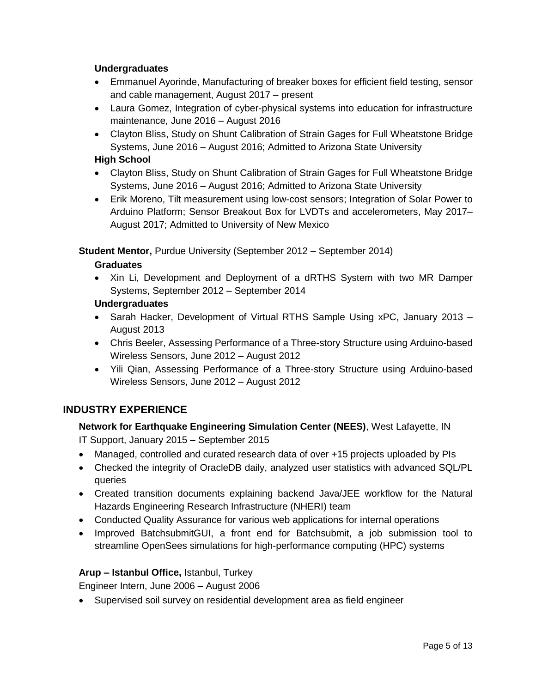#### **Undergraduates**

- Emmanuel Ayorinde, Manufacturing of breaker boxes for efficient field testing, sensor and cable management, August 2017 – present
- Laura Gomez, Integration of cyber-physical systems into education for infrastructure maintenance, June 2016 – August 2016
- Clayton Bliss, Study on Shunt Calibration of Strain Gages for Full Wheatstone Bridge Systems, June 2016 – August 2016; Admitted to Arizona State University

#### **High School**

- Clayton Bliss, Study on Shunt Calibration of Strain Gages for Full Wheatstone Bridge Systems, June 2016 – August 2016; Admitted to Arizona State University
- Erik Moreno, Tilt measurement using low-cost sensors; Integration of Solar Power to Arduino Platform; Sensor Breakout Box for LVDTs and accelerometers, May 2017– August 2017; Admitted to University of New Mexico

**Student Mentor,** Purdue University (September 2012 – September 2014)

#### **Graduates**

• Xin Li, Development and Deployment of a dRTHS System with two MR Damper Systems, September 2012 – September 2014

#### **Undergraduates**

- Sarah Hacker, Development of Virtual RTHS Sample Using xPC, January 2013 August 2013
- Chris Beeler, Assessing Performance of a Three-story Structure using Arduino-based Wireless Sensors, June 2012 – August 2012
- Yili Qian, Assessing Performance of a Three-story Structure using Arduino-based Wireless Sensors, June 2012 – August 2012

### **INDUSTRY EXPERIENCE**

### **Network for Earthquake Engineering Simulation Center (NEES)**, West Lafayette, IN

*IT Support,* January 2015 – September 2015

- Managed, controlled and curated research data of over +15 projects uploaded by PIs
- Checked the integrity of OracleDB daily, analyzed user statistics with advanced SQL/PL queries
- Created transition documents explaining backend Java/JEE workflow for the Natural Hazards Engineering Research Infrastructure (NHERI) team
- Conducted Quality Assurance for various web applications for internal operations
- Improved BatchsubmitGUI, a front end for Batchsubmit, a job submission tool to streamline OpenSees simulations for high-performance computing (HPC) systems

#### **Arup – Istanbul Office,** Istanbul, Turkey

*Engineer Intern,* June 2006 – August 2006

• Supervised soil survey on residential development area as field engineer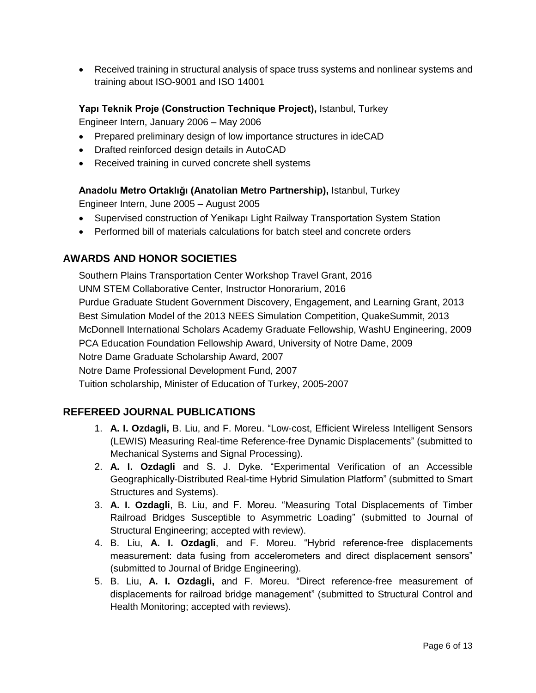• Received training in structural analysis of space truss systems and nonlinear systems and training about ISO-9001 and ISO 14001

**Yapı Teknik Proje (Construction Technique Project),** Istanbul, Turkey

*Engineer Intern,* January 2006 – May 2006

- Prepared preliminary design of low importance structures in ideCAD
- Drafted reinforced design details in AutoCAD
- Received training in curved concrete shell systems

**Anadolu Metro Ortaklığı (Anatolian Metro Partnership),** Istanbul, Turkey

*Engineer Intern,* June 2005 – August 2005

- Supervised construction of Yenikapı Light Railway Transportation System Station
- Performed bill of materials calculations for batch steel and concrete orders

### **AWARDS AND HONOR SOCIETIES**

Southern Plains Transportation Center Workshop Travel Grant, 2016 UNM STEM Collaborative Center, Instructor Honorarium, 2016 Purdue Graduate Student Government Discovery, Engagement, and Learning Grant, 2013 Best Simulation Model of the 2013 NEES Simulation Competition, QuakeSummit, 2013 McDonnell International Scholars Academy Graduate Fellowship, WashU Engineering, 2009 PCA Education Foundation Fellowship Award, University of Notre Dame, 2009 Notre Dame Graduate Scholarship Award, 2007 Notre Dame Professional Development Fund, 2007 Tuition scholarship, Minister of Education of Turkey, 2005-2007

### **REFEREED JOURNAL PUBLICATIONS**

- 1. **A. I. Ozdagli,** B. Liu, and F. Moreu. "Low-cost, Efficient Wireless Intelligent Sensors (LEWIS) Measuring Real-time Reference-free Dynamic Displacements" (submitted to *Mechanical Systems and Signal Processing*).
- 2. **A. I. Ozdagli** and S. J. Dyke. "Experimental Verification of an Accessible Geographically-Distributed Real-time Hybrid Simulation Platform" (submitted to *Smart Structures and Systems*).
- 3. **A. I. Ozdagli**, B. Liu, and F. Moreu. "Measuring Total Displacements of Timber Railroad Bridges Susceptible to Asymmetric Loading" (submitted to Journal of Structural Engineering; accepted with review).
- 4. B. Liu, **A. I. Ozdagli**, and F. Moreu. "Hybrid reference-free displacements measurement: data fusing from accelerometers and direct displacement sensors" (submitted to Journal of Bridge Engineering).
- 5. B. Liu, **A. I. Ozdagli,** and F. Moreu. "Direct reference-free measurement of displacements for railroad bridge management" (submitted to Structural Control and Health Monitoring; accepted with reviews).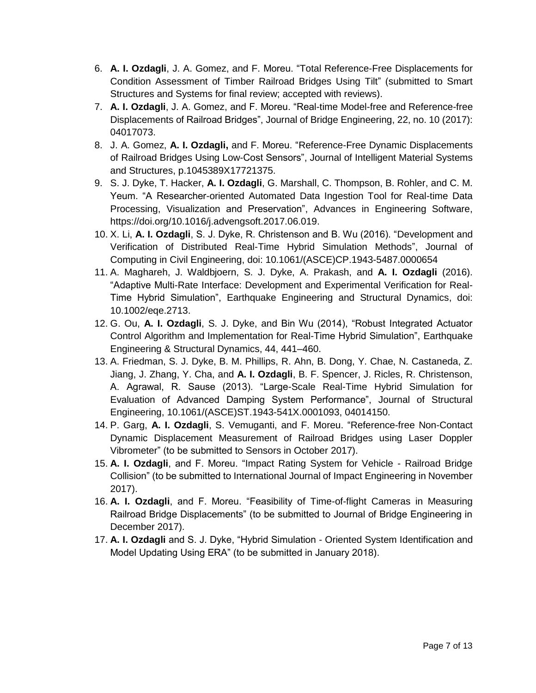- 6. **A. I. Ozdagli**, J. A. Gomez, and F. Moreu. "Total Reference-Free Displacements for Condition Assessment of Timber Railroad Bridges Using Tilt" (submitted to *Smart Structures and Systems* for final review; accepted with reviews).
- 7. **A. I. Ozdagli**, J. A. Gomez, and F. Moreu. "Real-time Model-free and Reference-free Displacements of Railroad Bridges", *Journal of Bridge Engineering*, 22, no. 10 (2017): 04017073.
- 8. J. A. Gomez, **A. I. Ozdagli,** and F. Moreu. "Reference-Free Dynamic Displacements of Railroad Bridges Using Low-Cost Sensors", *Journal of Intelligent Material Systems and Structures*, p.1045389X17721375.
- 9. S. J. Dyke, T. Hacker, **A. I. Ozdagli**, G. Marshall, C. Thompson, B. Rohler, and C. M. Yeum. "A Researcher-oriented Automated Data Ingestion Tool for Real-time Data Processing, Visualization and Preservation", *Advances in Engineering Software*, https://doi.org/10.1016/j.advengsoft.2017.06.019.
- 10. X. Li, **A. I. Ozdagli**, S. J. Dyke, R. Christenson and B. Wu (2016). "Development and Verification of Distributed Real-Time Hybrid Simulation Methods", *Journal of Computing in Civil Engineering*, doi: 10.1061/(ASCE)CP.1943-5487.0000654
- 11. A. Maghareh, J. Waldbjoern, S. J. Dyke, A. Prakash, and **A. I. Ozdagli** (2016). "Adaptive Multi-Rate Interface: Development and Experimental Verification for Real-Time Hybrid Simulation", *Earthquake Engineering and Structural Dynamics*, doi: 10.1002/eqe.2713.
- 12. G. Ou, **A. I. Ozdagli**, S. J. Dyke, and Bin Wu (2014), "Robust Integrated Actuator Control Algorithm and Implementation for Real-Time Hybrid Simulation", *Earthquake Engineering & Structural Dynamics*, 44, 441–460.
- 13. A. Friedman, S. J. Dyke, B. M. Phillips, R. Ahn, B. Dong, Y. Chae, N. Castaneda, Z. Jiang, J. Zhang, Y. Cha, and **A. I. Ozdagli**, B. F. Spencer, J. Ricles, R. Christenson, A. Agrawal, R. Sause (2013). "Large-Scale Real-Time Hybrid Simulation for Evaluation of Advanced Damping System Performance", *Journal of Structural Engineering*, 10.1061/(ASCE)ST.1943-541X.0001093, 04014150.
- 14. P. Garg, **A. I. Ozdagli**, S. Vemuganti, and F. Moreu. "Reference-free Non-Contact Dynamic Displacement Measurement of Railroad Bridges using Laser Doppler Vibrometer" (to be submitted to Sensors in October 2017).
- 15. **A. I. Ozdagli**, and F. Moreu. "Impact Rating System for Vehicle Railroad Bridge Collision" (to be submitted to International Journal of Impact Engineering in November 2017).
- 16. **A. I. Ozdagli**, and F. Moreu. "Feasibility of Time-of-flight Cameras in Measuring Railroad Bridge Displacements" (to be submitted to Journal of Bridge Engineering in December 2017).
- 17. **A. I. Ozdagli** and S. J. Dyke, "Hybrid Simulation Oriented System Identification and Model Updating Using ERA" (to be submitted in January 2018).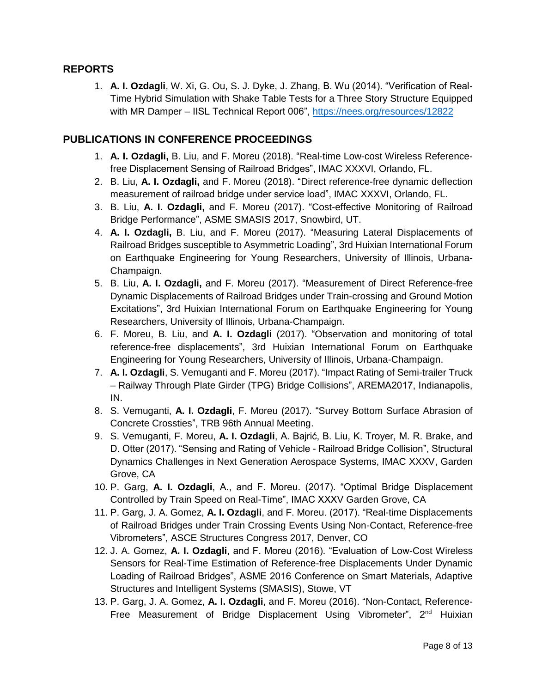### **REPORTS**

1. **A. I. Ozdagli**, W. Xi, G. Ou, S. J. Dyke, J. Zhang, B. Wu (2014). "Verification of Real-Time Hybrid Simulation with Shake Table Tests for a Three Story Structure Equipped with MR Damper - IISL Technical Report 006",<https://nees.org/resources/12822>

### **PUBLICATIONS IN CONFERENCE PROCEEDINGS**

- 1. **A. I. Ozdagli,** B. Liu, and F. Moreu (2018). "Real-time Low-cost Wireless Referencefree Displacement Sensing of Railroad Bridges", IMAC XXXVI, Orlando, FL.
- 2. B. Liu, **A. I. Ozdagli,** and F. Moreu (2018). "Direct reference-free dynamic deflection measurement of railroad bridge under service load", IMAC XXXVI, Orlando, FL.
- 3. B. Liu, **A. I. Ozdagli,** and F. Moreu (2017). "Cost-effective Monitoring of Railroad Bridge Performance", ASME SMASIS 2017, Snowbird, UT.
- 4. **A. I. Ozdagli,** B. Liu, and F. Moreu (2017). "Measuring Lateral Displacements of Railroad Bridges susceptible to Asymmetric Loading", 3rd Huixian International Forum on Earthquake Engineering for Young Researchers, University of Illinois, Urbana-Champaign.
- 5. B. Liu, **A. I. Ozdagli,** and F. Moreu (2017). "Measurement of Direct Reference-free Dynamic Displacements of Railroad Bridges under Train-crossing and Ground Motion Excitations", 3rd Huixian International Forum on Earthquake Engineering for Young Researchers, University of Illinois, Urbana-Champaign.
- 6. F. Moreu, B. Liu, and **A. I. Ozdagli** (2017). "Observation and monitoring of total reference-free displacements", 3rd Huixian International Forum on Earthquake Engineering for Young Researchers, University of Illinois, Urbana-Champaign.
- 7. **A. I. Ozdagli**, S. Vemuganti and F. Moreu (2017). "Impact Rating of Semi-trailer Truck – Railway Through Plate Girder (TPG) Bridge Collisions", AREMA2017, Indianapolis, IN.
- 8. S. Vemuganti, **A. I. Ozdagli**, F. Moreu (2017). "Survey Bottom Surface Abrasion of Concrete Crossties", TRB 96th Annual Meeting.
- 9. S. Vemuganti, F. Moreu, **A. I. Ozdagli**, A. Bajrić, B. Liu, K. Troyer, M. R. Brake, and D. Otter (2017). "Sensing and Rating of Vehicle - Railroad Bridge Collision", Structural Dynamics Challenges in Next Generation Aerospace Systems, IMAC XXXV, Garden Grove, CA
- 10. P. Garg, **A. I. Ozdagli**, A., and F. Moreu. (2017). "Optimal Bridge Displacement Controlled by Train Speed on Real-Time", IMAC XXXV Garden Grove, CA
- 11. P. Garg, J. A. Gomez, **A. I. Ozdagli**, and F. Moreu. (2017). "Real-time Displacements of Railroad Bridges under Train Crossing Events Using Non-Contact, Reference-free Vibrometers", ASCE Structures Congress 2017, Denver, CO
- 12. J. A. Gomez, **A. I. Ozdagli**, and F. Moreu (2016). "Evaluation of Low-Cost Wireless Sensors for Real-Time Estimation of Reference-free Displacements Under Dynamic Loading of Railroad Bridges", ASME 2016 Conference on Smart Materials, Adaptive Structures and Intelligent Systems (SMASIS), Stowe, VT
- 13. P. Garg, J. A. Gomez, **A. I. Ozdagli**, and F. Moreu (2016). "Non-Contact, Reference-Free Measurement of Bridge Displacement Using Vibrometer", 2<sup>nd</sup> Huixian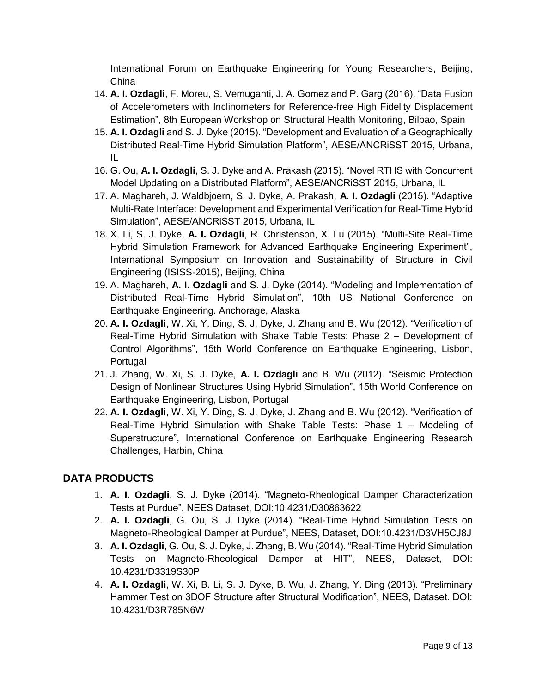International Forum on Earthquake Engineering for Young Researchers, Beijing, China

- 14. **A. I. Ozdagli**, F. Moreu, S. Vemuganti, J. A. Gomez and P. Garg (2016). "Data Fusion of Accelerometers with Inclinometers for Reference-free High Fidelity Displacement Estimation", 8th European Workshop on Structural Health Monitoring, Bilbao, Spain
- 15. **A. I. Ozdagli** and S. J. Dyke (2015). "Development and Evaluation of a Geographically Distributed Real-Time Hybrid Simulation Platform", AESE/ANCRiSST 2015, Urbana, IL
- 16. G. Ou, **A. I. Ozdagli**, S. J. Dyke and A. Prakash (2015). "Novel RTHS with Concurrent Model Updating on a Distributed Platform", AESE/ANCRiSST 2015, Urbana, IL
- 17. A. Maghareh, J. Waldbjoern, S. J. Dyke, A. Prakash, **A. I. Ozdagli** (2015). "Adaptive Multi-Rate Interface: Development and Experimental Verification for Real-Time Hybrid Simulation", AESE/ANCRiSST 2015, Urbana, IL
- 18. X. Li, S. J. Dyke, **A. I. Ozdagli**, R. Christenson, X. Lu (2015). "Multi-Site Real-Time Hybrid Simulation Framework for Advanced Earthquake Engineering Experiment", International Symposium on Innovation and Sustainability of Structure in Civil Engineering (ISISS-2015), Beijing, China
- 19. A. Maghareh, **A. I. Ozdagli** and S. J. Dyke (2014). "Modeling and Implementation of Distributed Real-Time Hybrid Simulation", 10th US National Conference on Earthquake Engineering. Anchorage, Alaska
- 20. **A. I. Ozdagli**, W. Xi, Y. Ding, S. J. Dyke, J. Zhang and B. Wu (2012). "Verification of Real-Time Hybrid Simulation with Shake Table Tests: Phase 2 – Development of Control Algorithms", 15th World Conference on Earthquake Engineering, Lisbon, Portugal
- 21. J. Zhang, W. Xi, S. J. Dyke, **A. I. Ozdagli** and B. Wu (2012). "Seismic Protection Design of Nonlinear Structures Using Hybrid Simulation", 15th World Conference on Earthquake Engineering, Lisbon, Portugal
- 22. **A. I. Ozdagli**, W. Xi, Y. Ding, S. J. Dyke, J. Zhang and B. Wu (2012). "Verification of Real-Time Hybrid Simulation with Shake Table Tests: Phase 1 – Modeling of Superstructure", International Conference on Earthquake Engineering Research Challenges, Harbin, China

## **DATA PRODUCTS**

- 1. **A. I. Ozdagli**, S. J. Dyke (2014). "Magneto-Rheological Damper Characterization Tests at Purdue", NEES Dataset, DOI:10.4231/D30863622
- 2. **A. I. Ozdagli**, G. Ou, S. J. Dyke (2014). "Real-Time Hybrid Simulation Tests on Magneto-Rheological Damper at Purdue", NEES, Dataset, DOI:10.4231/D3VH5CJ8J
- 3. **A. I. Ozdagli**, G. Ou, S. J. Dyke, J. Zhang, B. Wu (2014). "Real-Time Hybrid Simulation Tests on Magneto-Rheological Damper at HIT", NEES, Dataset, DOI: 10.4231/D3319S30P
- 4. **A. I. Ozdagli**, W. Xi, B. Li, S. J. Dyke, B. Wu, J. Zhang, Y. Ding (2013). "Preliminary Hammer Test on 3DOF Structure after Structural Modification", NEES, Dataset. DOI: 10.4231/D3R785N6W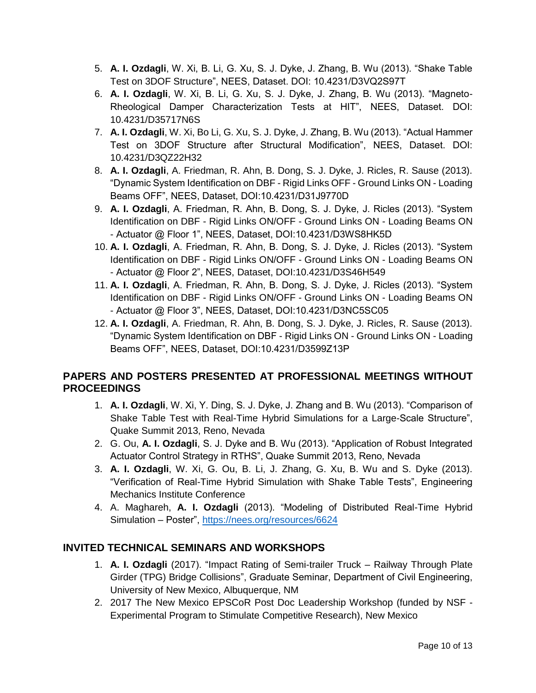- 5. **A. I. Ozdagli**, W. Xi, B. Li, G. Xu, S. J. Dyke, J. Zhang, B. Wu (2013). "Shake Table Test on 3DOF Structure", NEES, Dataset. DOI: 10.4231/D3VQ2S97T
- 6. **A. I. Ozdagli**, W. Xi, B. Li, G. Xu, S. J. Dyke, J. Zhang, B. Wu (2013). "Magneto-Rheological Damper Characterization Tests at HIT", NEES, Dataset. DOI: 10.4231/D35717N6S
- 7. **A. I. Ozdagli**, W. Xi, Bo Li, G. Xu, S. J. Dyke, J. Zhang, B. Wu (2013). "Actual Hammer Test on 3DOF Structure after Structural Modification", NEES, Dataset. DOI: 10.4231/D3QZ22H32
- 8. **A. I. Ozdagli**, A. Friedman, R. Ahn, B. Dong, S. J. Dyke, J. Ricles, R. Sause (2013). "Dynamic System Identification on DBF - Rigid Links OFF - Ground Links ON - Loading Beams OFF", NEES, Dataset, DOI:10.4231/D31J9770D
- 9. **A. I. Ozdagli**, A. Friedman, R. Ahn, B. Dong, S. J. Dyke, J. Ricles (2013). "System Identification on DBF - Rigid Links ON/OFF - Ground Links ON - Loading Beams ON - Actuator @ Floor 1", NEES, Dataset, DOI:10.4231/D3WS8HK5D
- 10. **A. I. Ozdagli**, A. Friedman, R. Ahn, B. Dong, S. J. Dyke, J. Ricles (2013). "System Identification on DBF - Rigid Links ON/OFF - Ground Links ON - Loading Beams ON - Actuator @ Floor 2", NEES, Dataset, DOI:10.4231/D3S46H549
- 11. **A. I. Ozdagli**, A. Friedman, R. Ahn, B. Dong, S. J. Dyke, J. Ricles (2013). "System Identification on DBF - Rigid Links ON/OFF - Ground Links ON - Loading Beams ON - Actuator @ Floor 3", NEES, Dataset, DOI:10.4231/D3NC5SC05
- 12. **A. I. Ozdagli**, A. Friedman, R. Ahn, B. Dong, S. J. Dyke, J. Ricles, R. Sause (2013). "Dynamic System Identification on DBF - Rigid Links ON - Ground Links ON - Loading Beams OFF", NEES, Dataset, DOI:10.4231/D3599Z13P

## **PAPERS AND POSTERS PRESENTED AT PROFESSIONAL MEETINGS WITHOUT PROCEEDINGS**

- 1. **A. I. Ozdagli**, W. Xi, Y. Ding, S. J. Dyke, J. Zhang and B. Wu (2013). "Comparison of Shake Table Test with Real-Time Hybrid Simulations for a Large-Scale Structure", Quake Summit 2013, Reno, Nevada
- 2. G. Ou, **A. I. Ozdagli**, S. J. Dyke and B. Wu (2013). "Application of Robust Integrated Actuator Control Strategy in RTHS", Quake Summit 2013, Reno, Nevada
- 3. **A. I. Ozdagli**, W. Xi, G. Ou, B. Li, J. Zhang, G. Xu, B. Wu and S. Dyke (2013). "Verification of Real-Time Hybrid Simulation with Shake Table Tests", Engineering Mechanics Institute Conference
- 4. A. Maghareh, **A. I. Ozdagli** (2013). "Modeling of Distributed Real-Time Hybrid Simulation – Poster",<https://nees.org/resources/6624>

## **INVITED TECHNICAL SEMINARS AND WORKSHOPS**

- 1. **A. I. Ozdagli** (2017). "Impact Rating of Semi-trailer Truck Railway Through Plate Girder (TPG) Bridge Collisions", Graduate Seminar, Department of Civil Engineering, University of New Mexico, Albuquerque, NM
- 2. 2017 The New Mexico EPSCoR Post Doc Leadership Workshop (funded by NSF Experimental Program to Stimulate Competitive Research), New Mexico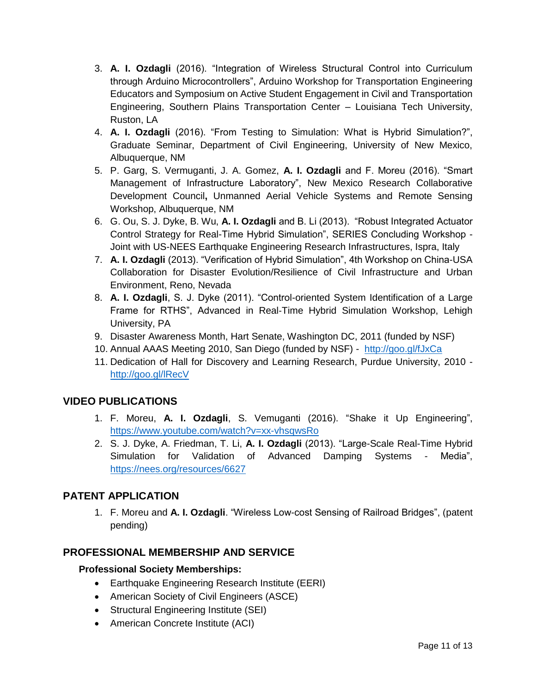- 3. **A. I. Ozdagli** (2016). "Integration of Wireless Structural Control into Curriculum through Arduino Microcontrollers", Arduino Workshop for Transportation Engineering Educators and Symposium on Active Student Engagement in Civil and Transportation Engineering, Southern Plains Transportation Center – Louisiana Tech University, Ruston, LA
- 4. **A. I. Ozdagli** (2016). "From Testing to Simulation: What is Hybrid Simulation?", Graduate Seminar, Department of Civil Engineering, University of New Mexico, Albuquerque, NM
- 5. P. Garg, S. Vermuganti, J. A. Gomez, **A. I. Ozdagli** and F. Moreu (2016). "Smart Management of Infrastructure Laboratory", New Mexico Research Collaborative Development Council**,** Unmanned Aerial Vehicle Systems and Remote Sensing Workshop, Albuquerque, NM
- 6. G. Ou, S. J. Dyke, B. Wu, **A. I. Ozdagli** and B. Li (2013). "Robust Integrated Actuator Control Strategy for Real-Time Hybrid Simulation", SERIES Concluding Workshop - Joint with US-NEES Earthquake Engineering Research Infrastructures, Ispra, Italy
- 7. **A. I. Ozdagli** (2013). "Verification of Hybrid Simulation", 4th Workshop on China-USA Collaboration for Disaster Evolution/Resilience of Civil Infrastructure and Urban Environment, Reno, Nevada
- 8. **A. I. Ozdagli**, S. J. Dyke (2011). "Control-oriented System Identification of a Large Frame for RTHS", Advanced in Real‐Time Hybrid Simulation Workshop, Lehigh University, PA
- 9. Disaster Awareness Month, Hart Senate, Washington DC, 2011 (funded by NSF)
- 10. Annual AAAS Meeting 2010, San Diego (funded by NSF) <http://goo.gl/fJxCa>
- 11. Dedication of Hall for Discovery and Learning Research, Purdue University, 2010 <http://goo.gl/lRecV>

## **VIDEO PUBLICATIONS**

- 1. F. Moreu, **A. I. Ozdagli**, S. Vemuganti (2016). "Shake it Up Engineering", <https://www.youtube.com/watch?v=xx-vhsqwsRo>
- 2. S. J. Dyke, A. Friedman, T. Li, **A. I. Ozdagli** (2013). "Large-Scale Real-Time Hybrid Simulation for Validation of Advanced Damping Systems - Media", <https://nees.org/resources/6627>

## **PATENT APPLICATION**

1. F. Moreu and **A. I. Ozdagli**. "Wireless Low-cost Sensing of Railroad Bridges", (patent pending)

## **PROFESSIONAL MEMBERSHIP AND SERVICE**

### **Professional Society Memberships:**

- Earthquake Engineering Research Institute (EERI)
- American Society of Civil Engineers (ASCE)
- Structural Engineering Institute (SEI)
- American Concrete Institute (ACI)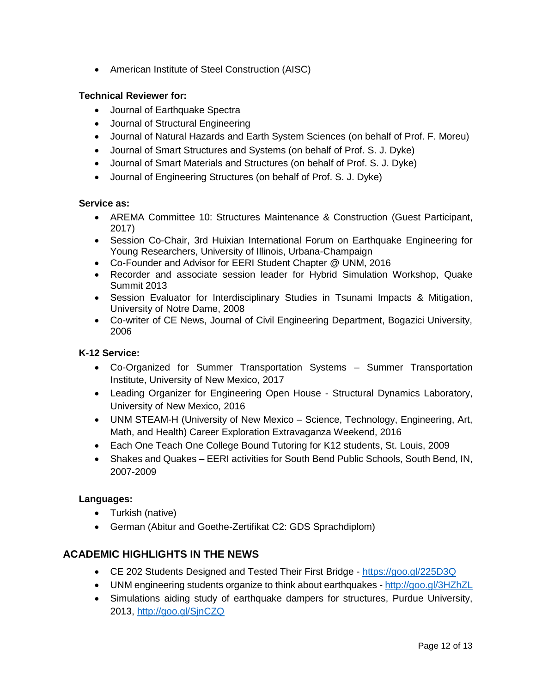• American Institute of Steel Construction (AISC)

#### **Technical Reviewer for:**

- Journal of Earthquake Spectra
- Journal of Structural Engineering
- Journal of Natural Hazards and Earth System Sciences (on behalf of Prof. F. Moreu)
- Journal of Smart Structures and Systems (on behalf of Prof. S. J. Dyke)
- Journal of Smart Materials and Structures (on behalf of Prof. S. J. Dyke)
- Journal of Engineering Structures (on behalf of Prof. S. J. Dyke)

#### **Service as:**

- AREMA Committee 10: Structures Maintenance & Construction (Guest Participant, 2017)
- Session Co-Chair, 3rd Huixian International Forum on Earthquake Engineering for Young Researchers, University of Illinois, Urbana-Champaign
- Co-Founder and Advisor for EERI Student Chapter @ UNM, 2016
- Recorder and associate session leader for Hybrid Simulation Workshop, Quake Summit 2013
- Session Evaluator for Interdisciplinary Studies in Tsunami Impacts & Mitigation, University of Notre Dame, 2008
- Co-writer of CE News, Journal of Civil Engineering Department, Bogazici University, 2006

#### **K-12 Service:**

- Co-Organized for Summer Transportation Systems Summer Transportation Institute, University of New Mexico, 2017
- Leading Organizer for Engineering Open House Structural Dynamics Laboratory, University of New Mexico, 2016
- UNM STEAM-H (University of New Mexico Science, Technology, Engineering, Art, Math, and Health) Career Exploration Extravaganza Weekend, 2016
- Each One Teach One College Bound Tutoring for K12 students, St. Louis, 2009
- Shakes and Quakes EERI activities for South Bend Public Schools, South Bend, IN, 2007-2009

#### **Languages:**

- Turkish (native)
- German (Abitur and Goethe-Zertifikat C2: GDS Sprachdiplom)

### **ACADEMIC HIGHLIGHTS IN THE NEWS**

- CE 202 Students Designed and Tested Their First Bridge <https://goo.gl/225D3Q>
- UNM engineering students organize to think about earthquakes <http://goo.gl/3HZhZL>
- Simulations aiding study of earthquake dampers for structures, Purdue University, 2013, <http://goo.gl/SjnCZQ>